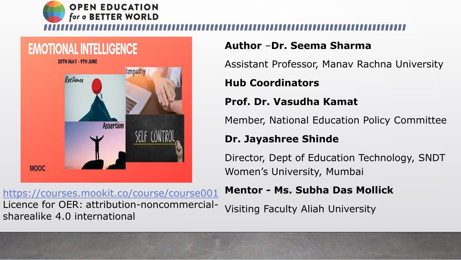

# **EMOTIONAL INTELLIGENCE** 20TH MAY - 9TH JUNE Empath Resilience **Assertion MOOC**

**Author** –**Dr. Seema Sharma** Assistant Professor, Manav Rachna University **Hub Coordinators Prof. Dr. Vasudha Kamat** Member, National Education Policy Committee

### **Dr. Jayashree Shinde**

Director, Dept of Education Technology, SNDT Women's University, Mumbai

### **Mentor - Ms. Subha Das Mollick**

Visiting Faculty Aliah University

<https://courses.mookit.co/course/course001> Licence for OER: attribution-noncommercialsharealike 4.0 international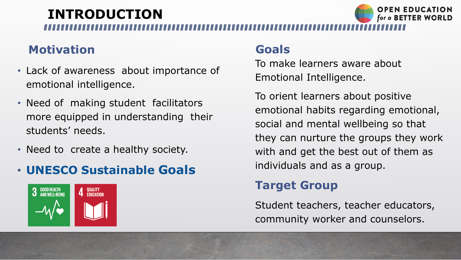# **INTRODUCTION**

## **Motivation**

To make learners aware about Emotional Intelligence.

To orient learners about positive emotional habits regarding emotional, social and mental wellbeing so that they can nurture the groups they work with and get the best out of them as individuals and as a group.

- Lack of awareness about importance of emotional intelligence.
- Need of making student facilitators more equipped in understanding their students' needs.
- Need to create a healthy society.

## **Target Group**

Student teachers, teacher educators, community worker and counselors.



## • **UNESCO Sustainable Goals**



## **Goals**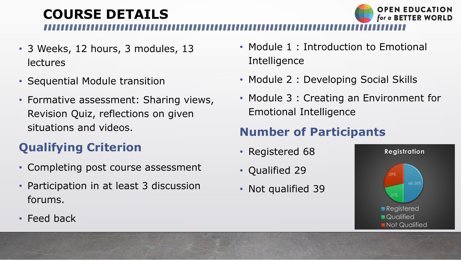# **COURSE DETAILS**

- 3 Weeks, 12 hours, 3 modules, 13 **lectures**
- Sequential Module transition
- Formative assessment: Sharing views, Revision Quiz, reflections on given situations and videos.

# **Qualifying Criterion**

- Module 1 : Introduction to Emotional **Intelligence**
- Module 2 : Developing Social Skills
- Module 3 : Creating an Environment for Emotional Intelligence

- Registered 68
- Qualified 29
- Not qualified 39

• Feed back





- Completing post course assessment
- Participation in at least 3 discussion forums.

# **Number of Participants**

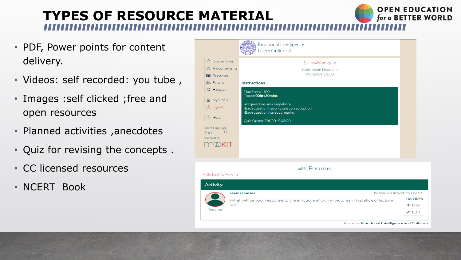# **TYPES OF RESOURCE MATERIAL**

- PDF, Power points for content delivery.
- Videos: self recorded: you tube ,
- Images : self clicked ; free and open resources
- Planned activities ,anecdotes
- Quiz for revising the concepts .
- CC licensed resources
- NCERT Book

|                                                                                                                                                                      | <b>Emotional Intelligence</b><br>Users Online: 2                                                                                                                                      |
|----------------------------------------------------------------------------------------------------------------------------------------------------------------------|---------------------------------------------------------------------------------------------------------------------------------------------------------------------------------------|
| Gourse Home<br>□ Announcements<br>图 Resources<br><b>28</b> Forums                                                                                                    | $\equiv$ revision quiz<br><b>Submission Deadline</b><br>9/6/2019 16:30<br><b>Instructions</b>                                                                                         |
| $\supset$ Hangout<br>A My Profile<br><sup>'</sup> J) Logout<br>Help<br>Select Language<br>English<br>$\mathbf{r} \in \mathbb{R}^{n \times n}$<br>powered by<br>MØKIT | Max Score: 100<br>Timed: 00hrs30mins<br>-All questions are compulsory<br>-Each question has only one correct option.<br>-Each question has equal marks.<br>Quiz Opens: 7/6/2019 05:30 |
| < Go Back to Forums                                                                                                                                                  | <b>28 Forums</b>                                                                                                                                                                      |
| <b>Activity</b><br>ppt.?<br>Teacher                                                                                                                                  | seemasharma<br>What will be your response to the emotions shown in pictures in la:                                                                                                    |

Posted in Emotional Intelligence and Children

| Posted on 4/6/2019 05:19<br>st slide of lecture | No Likes      |
|-------------------------------------------------|---------------|
|                                                 | t Like        |
|                                                 | $\angle$ Edit |
|                                                 |               |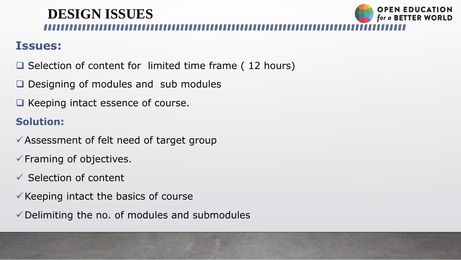# **DESIGN ISSUES**

### **Issues:**

- $\square$  Selection of content for limited time frame (12 hours)
- $\Box$  Designing of modules and sub modules
- $\Box$  Keeping intact essence of course.

- Assessment of felt need of target group
- $\checkmark$  Framing of objectives.
- $\checkmark$  Selection of content
- $\checkmark$  Keeping intact the basics of course
- $\checkmark$  Delimiting the no. of modules and submodules



### **Solution:**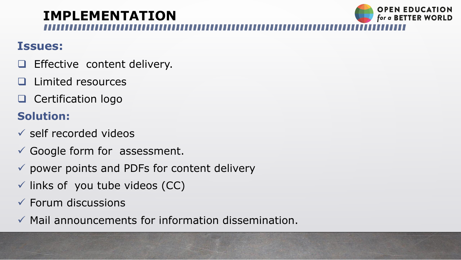### **Issues:**

- **Effective content delivery.**
- **Limited resources**
- **Q** Certification logo

## **Solution:**

- $\checkmark$  self recorded videos
- $\checkmark$  Google form for assessment.
- $\checkmark$  power points and PDFs for content delivery
- $\checkmark$  links of you tube videos (CC)
- $\checkmark$  Forum discussions
- $\checkmark$  Mail announcements for information dissemination.



# **IMPLEMENTATION**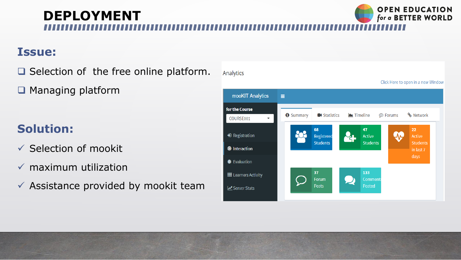### **OPEN EDUCATION DEPLOYMENT**for a BETTER WORLD

Analytics

### **Issue:**

 $\Box$  Selection of the free online platform.

■ Managing platform

# **Solution:**

- $\checkmark$  Selection of mookit
- $\checkmark$  maximum utilization
- $\checkmark$  Assistance provided by mookit team

mooKIT Analytics Ξ for the Course **O** Summary **K** Statistics  $\blacksquare$  Timeline COURSE001 68 **→**D Registration Registered **Students O** Interaction **●** Evaluation 37 **III** Learners Activity Forum  $\qquad \qquad \bullet$ **Posts** Server Stats



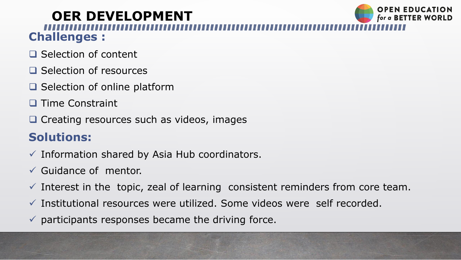# **OER DEVELOPMENT Challenges :**

- $\Box$  Selection of content
- $\Box$  Selection of resources
- $\Box$  Selection of online platform
- **Time Constraint**
- $\Box$  Creating resources such as videos, images

## **Solutions:**

- $\checkmark$  Information shared by Asia Hub coordinators.
- $\checkmark$  Guidance of mentor.
- $\checkmark$  Interest in the topic, zeal of learning consistent reminders from core team.
- $\checkmark$  Institutional resources were utilized. Some videos were self recorded.
- $\checkmark$  participants responses became the driving force.

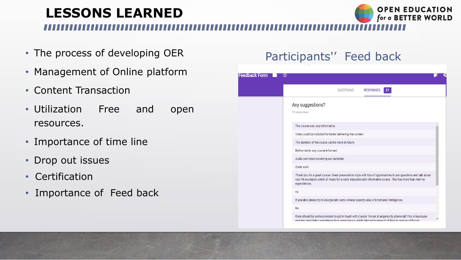# **LESSONS LEARNED**

- The process of developing OER
- Management of Online platform
- Content Transaction
- Utilization Free and open resources.
- Importance of time line
- Drop out issues
- Certification
- Importance of Feed back

## Participants'' Feed back

| dback Form | ਪੈਂ                                                                                                                             |
|------------|---------------------------------------------------------------------------------------------------------------------------------|
|            | QUESTIONS                                                                                                                       |
|            | Any suggestions?<br>16 responses                                                                                                |
|            | The course was very informative.                                                                                                |
|            | Video could be included for better delivering the con                                                                           |
|            | The duration of the course can be more in future.                                                                               |
|            | Before starts any coarse informed.                                                                                              |
|            | Audio and video recording can be better.                                                                                        |
|            | Great work                                                                                                                      |
|            | Thank you for a great course. Great presentation sty<br>real life examples which all made for a really enjoyal<br>expectations. |
|            | no                                                                                                                              |
|            | If possible please try to incorporate some clinical as                                                                          |
|            | <b>No</b>                                                                                                                       |
|            | there should be some provision to get in touch with<br>register candidates sometimes face some issues wh                        |
|            |                                                                                                                                 |



|                                                                                                                 | о |
|-----------------------------------------------------------------------------------------------------------------|---|
| <b>RESPONSES</b><br>21                                                                                          |   |
|                                                                                                                 |   |
|                                                                                                                 |   |
|                                                                                                                 |   |
| nt                                                                                                              |   |
|                                                                                                                 |   |
|                                                                                                                 |   |
|                                                                                                                 |   |
|                                                                                                                 |   |
| with lots of opportunities to ask questions and talk about<br>and informative course. This has more than met my |   |
|                                                                                                                 |   |
| ects also of Emotional Intelligence.                                                                            |   |
|                                                                                                                 |   |
| ourse Trainer at ungency by phonecall. This is beacause<br>h take extra amount of time to resolve at Forum      |   |
|                                                                                                                 |   |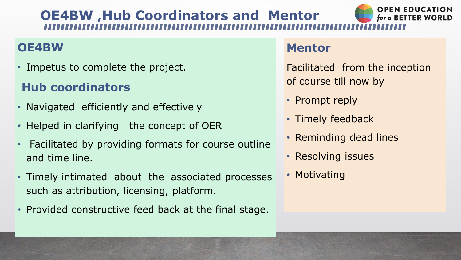# **OE4BW ,Hub Coordinators and Mentor**

## **OE4BW**

• Impetus to complete the project.

# **Hub coordinators**

- Navigated efficiently and effectively
- Helped in clarifying the concept of OER
- Facilitated by providing formats for course outline and time line.
- Timely intimated about the associated processes such as attribution, licensing, platform.
- Provided constructive feed back at the final stage.

### **Mentor**

Facilitated from the inception of course till now by

- Prompt reply
- 
- Timely feedback • Reminding dead lines
- Resolving issues
- Motivating